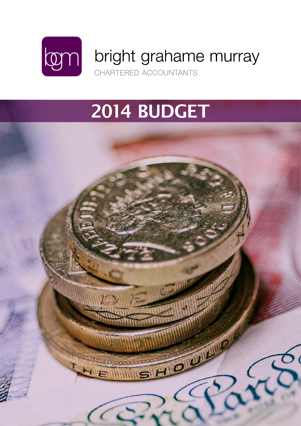

# 2014 BUDGET

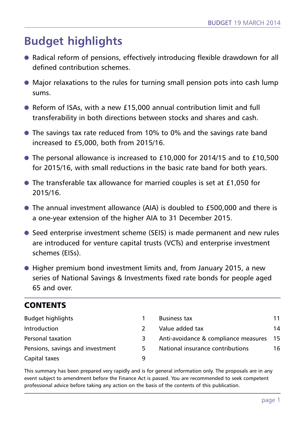# **Budget highlights**

- **●** Radical reform of pensions, effectively introducing flexible drawdown for all defined contribution schemes.
- **●** Major relaxations to the rules for turning small pension pots into cash lump sums.
- **●** Reform of ISAs, with a new £15,000 annual contribution limit and full transferability in both directions between stocks and shares and cash.
- **●** The savings tax rate reduced from 10% to 0% and the savings rate band increased to £5,000, both from 2015/16.
- **●** The personal allowance is increased to £10,000 for 2014/15 and to £10,500 for 2015/16, with small reductions in the basic rate band for both years.
- **●** The transferable tax allowance for married couples is set at £1,050 for 2015/16.
- **●** The annual investment allowance (AIA) is doubled to £500,000 and there is a one-year extension of the higher AIA to 31 December 2015.
- **●** Seed enterprise investment scheme (SEIS) is made permanent and new rules are introduced for venture capital trusts (VCTs) and enterprise investment schemes (EISs).
- **●** Higher premium bond investment limits and, from January 2015, a new series of National Savings & Investments fixed rate bonds for people aged 65 and over.

# **CONTENTS**

| <b>Budget highlights</b>         |   | <b>Business tax</b>                  | 11   |
|----------------------------------|---|--------------------------------------|------|
| Introduction                     |   | Value added tax                      | 14   |
| Personal taxation                | 3 | Anti-avoidance & compliance measures | - 15 |
| Pensions, savings and investment | 5 | National insurance contributions     | 16.  |
| Capital taxes                    | a |                                      |      |

This summary has been prepared very rapidly and is for general information only. The proposals are in any event subject to amendment before the Finance Act is passed. You are recommended to seek competent professional advice before taking any action on the basis of the contents of this publication.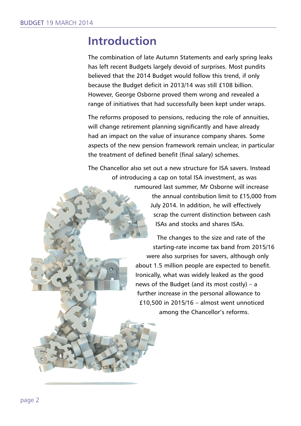# **Introduction**

The combination of late Autumn Statements and early spring leaks has left recent Budgets largely devoid of surprises. Most pundits believed that the 2014 Budget would follow this trend, if only because the Budget deficit in 2013/14 was still £108 billion. However, George Osborne proved them wrong and revealed a range of initiatives that had successfully been kept under wraps.

The reforms proposed to pensions, reducing the role of annuities, will change retirement planning significantly and have already had an impact on the value of insurance company shares. Some aspects of the new pension framework remain unclear, in particular the treatment of defined benefit (final salary) schemes.

The Chancellor also set out a new structure for ISA savers. Instead of introducing a cap on total ISA investment, as was

> rumoured last summer, Mr Osborne will increase the annual contribution limit to £15,000 from July 2014. In addition, he will effectively scrap the current distinction between cash ISAs and stocks and shares ISAs.

The changes to the size and rate of the starting-rate income tax band from 2015/16 were also surprises for savers, although only about 1.5 million people are expected to benefit. Ironically, what was widely leaked as the good news of the Budget (and its most costly) – a further increase in the personal allowance to £10,500 in 2015/16 – almost went unnoticed among the Chancellor's reforms.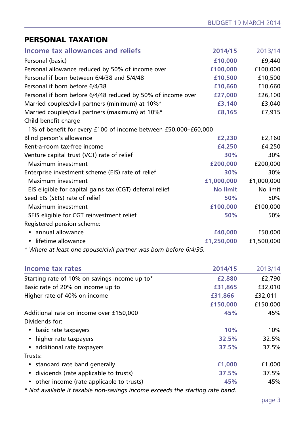# **PERSONAL TAXATION**

| Income tax allowances and reliefs                              | 2014/15         | 2013/14    |
|----------------------------------------------------------------|-----------------|------------|
| Personal (basic)                                               | £10,000         | £9,440     |
| Personal allowance reduced by 50% of income over               | £100,000        | £100,000   |
| Personal if born between 6/4/38 and 5/4/48                     | £10,500         | £10,500    |
| Personal if born before 6/4/38                                 | £10,660         | £10,660    |
| Personal if born before 6/4/48 reduced by 50% of income over   | £27,000         | £26,100    |
| Married couples/civil partners (minimum) at 10%*               | £3,140          | £3,040     |
| Married couples/civil partners (maximum) at 10%*               | £8,165          | £7,915     |
| Child benefit charge                                           |                 |            |
| 1% of benefit for every £100 of income between £50,000-£60,000 |                 |            |
| Blind person's allowance                                       | £2,230          | £2,160     |
| Rent-a-room tax-free income                                    | £4,250          | £4,250     |
| Venture capital trust (VCT) rate of relief                     | 30%             | 30%        |
| Maximum investment                                             | £200,000        | £200,000   |
| Enterprise investment scheme (EIS) rate of relief              | 30%             | 30%        |
| Maximum investment                                             | £1,000,000      | £1,000,000 |
| EIS eligible for capital gains tax (CGT) deferral relief       | <b>No limit</b> | No limit   |
| Seed EIS (SEIS) rate of relief                                 | 50%             | 50%        |
| Maximum investment                                             | £100,000        | £100,000   |
| SEIS eligible for CGT reinvestment relief                      | 50%             | 50%        |
| Registered pension scheme:                                     |                 |            |
| annual allowance                                               | £40,000         | £50,000    |
| lifetime allowance                                             | £1,250,000      | £1,500,000 |
|                                                                |                 |            |

*\* Where at least one spouse/civil partner was born before 6/4/35.*

| Income tax rates                              | 2014/15  | 2013/14    |
|-----------------------------------------------|----------|------------|
| Starting rate of 10% on savings income up to* | £2,880   | £2,790     |
| Basic rate of 20% on income up to             | £31,865  | £32,010    |
| Higher rate of 40% on income                  | £31,866- | $£32.011-$ |
|                                               | £150,000 | £150,000   |
| Additional rate on income over £150,000       | 45%      | 45%        |
| Dividends for:                                |          |            |
| • basic rate taxpayers                        | 10%      | 10%        |
| • higher rate taxpayers                       | 32.5%    | 32.5%      |
| • additional rate taxpayers                   | 37.5%    | 37.5%      |
| Trusts:                                       |          |            |
| • standard rate band generally                | £1,000   | £1,000     |
| • dividends (rate applicable to trusts)       | 37.5%    | 37.5%      |
| • other income (rate applicable to trusts)    | 45%      | 45%        |
|                                               |          |            |

*\* Not available if taxable non-savings income exceeds the starting rate band.*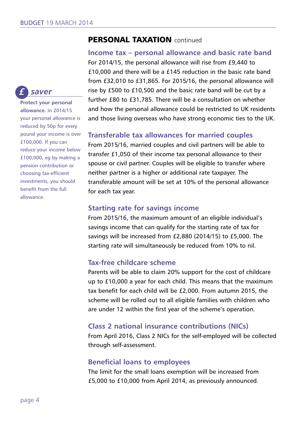# **PERSONAL TAXATION** continued

**Income tax – personal allowance and basic rate band** For 2014/15, the personal allowance will rise from £9,440 to £10,000 and there will be a £145 reduction in the basic rate band from £32,010 to £31,865. For 2015/16, the personal allowance will rise by £500 to £10,500 and the basic rate band will be cut by a further £80 to £31,785. There will be a consultation on whether and how the personal allowance could be restricted to UK residents and those living overseas who have strong economic ties to the UK.

#### **Transferable tax allowances for married couples**

From 2015/16, married couples and civil partners will be able to transfer £1,050 of their income tax personal allowance to their spouse or civil partner. Couples will be eligible to transfer where neither partner is a higher or additional rate taxpayer. The transferable amount will be set at 10% of the personal allowance for each tax year.

#### **Starting rate for savings income**

From 2015/16, the maximum amount of an eligible individual's savings income that can qualify for the starting rate of tax for savings will be increased from £2,880 (2014/15) to £5,000. The starting rate will simultaneously be reduced from 10% to nil.

#### **Tax-free childcare scheme**

Parents will be able to claim 20% support for the cost of childcare up to £10,000 a year for each child. This means that the maximum tax benefit for each child will be £2,000. From autumn 2015, the scheme will be rolled out to all eligible families with children who are under 12 within the first year of the scheme's operation.

#### **Class 2 national insurance contributions (NICs)**

From April 2016, Class 2 NICs for the self-employed will be collected through self-assessment.

#### **Beneficial loans to employees**

The limit for the small loans exemption will be increased from £5,000 to £10,000 from April 2014, as previously announced.

#### *saver £*

**Protect your personal allowance.** In 2014/15 your personal allowance is reduced by 50p for every pound your income is over £100,000. If you can reduce your income below £100,000, eg by making a pension contribution or choosing tax-efficient investments, you should benefit from the full allowance.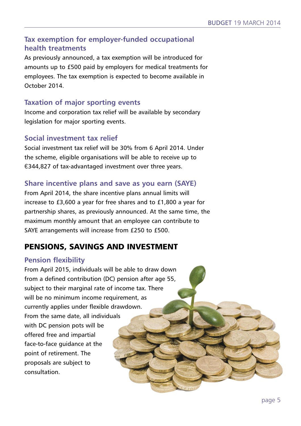### **Tax exemption for employer-funded occupational health treatments**

As previously announced, a tax exemption will be introduced for amounts up to £500 paid by employers for medical treatments for employees. The tax exemption is expected to become available in October 2014.

### **Taxation of major sporting events**

Income and corporation tax relief will be available by secondary legislation for major sporting events.

#### **Social investment tax relief**

Social investment tax relief will be 30% from 6 April 2014. Under the scheme, eligible organisations will be able to receive up to €344,827 of tax-advantaged investment over three years.

#### **Share incentive plans and save as you earn (SAYE)**

From April 2014, the share incentive plans annual limits will increase to £3,600 a year for free shares and to £1,800 a year for partnership shares, as previously announced. At the same time, the maximum monthly amount that an employee can contribute to SAYE arrangements will increase from £250 to £500.

# **PENSIONS, SAVINGS AND INVESTMENT**

#### **Pension flexibility**

From April 2015, individuals will be able to draw down from a defined contribution (DC) pension after age 55, subject to their marginal rate of income tax. There will be no minimum income requirement, as currently applies under flexible drawdown. From the same date, all individuals with DC pension pots will be offered free and impartial face-to-face guidance at the point of retirement. The proposals are subject to consultation.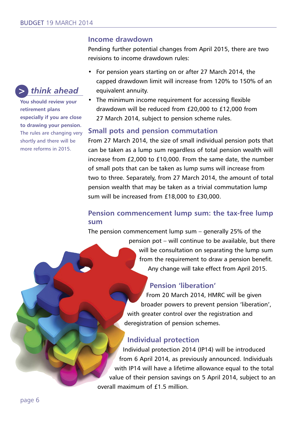#### **Income drawdown**

Pending further potential changes from April 2015, there are two revisions to income drawdown rules:

- For pension years starting on or after 27 March 2014, the capped drawdown limit will increase from 120% to 150% of an equivalent annuity.
- The minimum income requirement for accessing flexible drawdown will be reduced from £20,000 to £12,000 from 27 March 2014, subject to pension scheme rules.

#### **Small pots and pension commutation**

From 27 March 2014, the size of small individual pension pots that can be taken as a lump sum regardless of total pension wealth will increase from £2,000 to £10,000. From the same date, the number of small pots that can be taken as lump sums will increase from two to three. Separately, from 27 March 2014, the amount of total pension wealth that may be taken as a trivial commutation lump sum will be increased from £18,000 to £30,000.

#### **Pension commencement lump sum: the tax-free lump sum**

The pension commencement lump sum – generally 25% of the

pension pot – will continue to be available, but there will be consultation on separating the lump sum from the requirement to draw a pension benefit. Any change will take effect from April 2015.

#### **Pension 'liberation'**

From 20 March 2014, HMRC will be given broader powers to prevent pension 'liberation', with greater control over the registration and deregistration of pension schemes.

#### **Individual protection**

Individual protection 2014 (IP14) will be introduced from 6 April 2014, as previously announced. Individuals with IP14 will have a lifetime allowance equal to the total value of their pension savings on 5 April 2014, subject to an overall maximum of £1.5 million.

**You should review your retirement plans especially if you are close to drawing your pension.** The rules are changing very shortly and there will be more reforms in 2015.

*think ahead*

*>*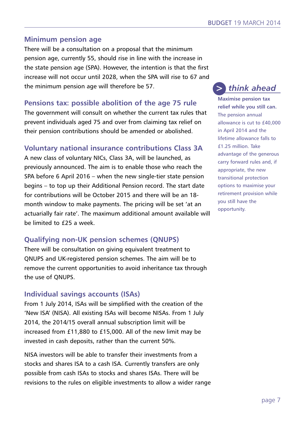#### **Minimum pension age**

There will be a consultation on a proposal that the minimum pension age, currently 55, should rise in line with the increase in the state pension age (SPA). However, the intention is that the first increase will not occur until 2028, when the SPA will rise to 67 and the minimum pension age will therefore be 57.

#### **Pensions tax: possible abolition of the age 75 rule**

The government will consult on whether the current tax rules that prevent individuals aged 75 and over from claiming tax relief on their pension contributions should be amended or abolished.

#### **Voluntary national insurance contributions Class 3A**

A new class of voluntary NICs, Class 3A, will be launched, as previously announced. The aim is to enable those who reach the SPA before 6 April 2016 – when the new single-tier state pension begins – to top up their Additional Pension record. The start date for contributions will be October 2015 and there will be an 18 month window to make payments. The pricing will be set 'at an actuarially fair rate'. The maximum additional amount available will be limited to £25 a week.

# **Qualifying non-UK pension schemes (QNUPS)**

There will be consultation on giving equivalent treatment to QNUPS and UK-registered pension schemes. The aim will be to remove the current opportunities to avoid inheritance tax through the use of QNUPS.

#### **Individual savings accounts (ISAs)**

From 1 July 2014, ISAs will be simplified with the creation of the 'New ISA' (NISA). All existing ISAs will become NISAs. From 1 July 2014, the 2014/15 overall annual subscription limit will be increased from £11,880 to £15,000. All of the new limit may be invested in cash deposits, rather than the current 50%.

NISA investors will be able to transfer their investments from a stocks and shares ISA to a cash ISA. Currently transfers are only possible from cash ISAs to stocks and shares ISAs. There will be revisions to the rules on eligible investments to allow a wider range

#### *think ahead >*

**Maximise pension tax relief while you still can.** The pension annual allowance is cut to £40,000 in April 2014 and the lifetime allowance falls to £1.25 million. Take advantage of the generous carry forward rules and, if appropriate, the new transitional protection options to maximise your retirement provision while you still have the opportunity.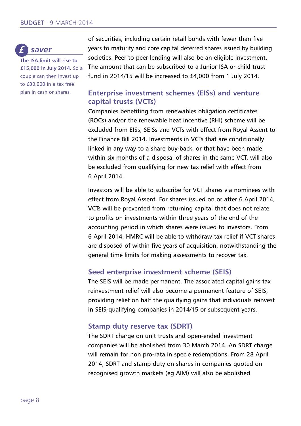

**The ISA limit will rise to £15,000 in July 2014.** So a couple can then invest up to £30,000 in a tax free plan in cash or shares.

of securities, including certain retail bonds with fewer than five years to maturity and core capital deferred shares issued by building societies. Peer-to-peer lending will also be an eligible investment. The amount that can be subscribed to a Junior ISA or child trust fund in 2014/15 will be increased to £4,000 from 1 July 2014.

#### **Enterprise investment schemes (EISs) and venture capital trusts (VCTs)**

Companies benefiting from renewables obligation certificates (ROCs) and/or the renewable heat incentive (RHI) scheme will be excluded from EISs, SEISs and VCTs with effect from Royal Assent to the Finance Bill 2014. Investments in VCTs that are conditionally linked in any way to a share buy-back, or that have been made within six months of a disposal of shares in the same VCT, will also be excluded from qualifying for new tax relief with effect from 6 April 2014.

Investors will be able to subscribe for VCT shares via nominees with effect from Royal Assent. For shares issued on or after 6 April 2014, VCTs will be prevented from returning capital that does not relate to profits on investments within three years of the end of the accounting period in which shares were issued to investors. From 6 April 2014, HMRC will be able to withdraw tax relief if VCT shares are disposed of within five years of acquisition, notwithstanding the general time limits for making assessments to recover tax.

#### **Seed enterprise investment scheme (SEIS)**

The SEIS will be made permanent. The associated capital gains tax reinvestment relief will also become a permanent feature of SEIS, providing relief on half the qualifying gains that individuals reinvest in SEIS-qualifying companies in 2014/15 or subsequent years.

#### **Stamp duty reserve tax (SDRT)**

The SDRT charge on unit trusts and open-ended investment companies will be abolished from 30 March 2014. An SDRT charge will remain for non pro-rata in specie redemptions. From 28 April 2014, SDRT and stamp duty on shares in companies quoted on recognised growth markets (eg AIM) will also be abolished.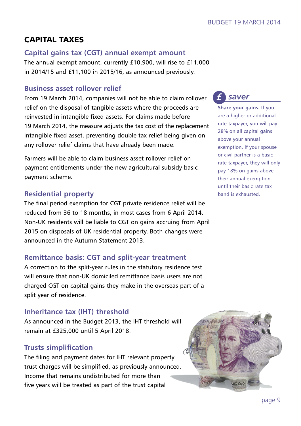# **CAPITAL TAXES**

#### **Capital gains tax (CGT) annual exempt amount**

The annual exempt amount, currently £10,900, will rise to £11,000 in 2014/15 and £11,100 in 2015/16, as announced previously.

#### **Business asset rollover relief**

From 19 March 2014, companies will not be able to claim rollover relief on the disposal of tangible assets where the proceeds are reinvested in intangible fixed assets. For claims made before 19 March 2014, the measure adjusts the tax cost of the replacement intangible fixed asset, preventing double tax relief being given on any rollover relief claims that have already been made.

Farmers will be able to claim business asset rollover relief on payment entitlements under the new agricultural subsidy basic payment scheme.

# **Residential property**

The final period exemption for CGT private residence relief will be reduced from 36 to 18 months, in most cases from 6 April 2014. Non-UK residents will be liable to CGT on gains accruing from April 2015 on disposals of UK residential property. Both changes were announced in the Autumn Statement 2013.

# **Remittance basis: CGT and split-year treatment**

A correction to the split-year rules in the statutory residence test will ensure that non-UK domiciled remittance basis users are not charged CGT on capital gains they make in the overseas part of a split year of residence.

# **Inheritance tax (IHT) threshold**

As announced in the Budget 2013, the IHT threshold will remain at £325,000 until 5 April 2018.

# **Trusts simplification**

The filing and payment dates for IHT relevant property trust charges will be simplified, as previously announced. Income that remains undistributed for more than five years will be treated as part of the trust capital



**Share your gains.** If you are a higher or additional rate taxpayer, you will pay 28% on all capital gains above your annual exemption. If your spouse or civil partner is a basic rate taxpayer, they will only pay 18% on gains above their annual exemption until their basic rate tax band is exhausted.

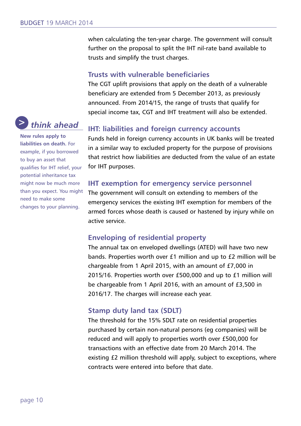when calculating the ten-year charge. The government will consult further on the proposal to split the IHT nil-rate band available to trusts and simplify the trust charges.

# **Trusts with vulnerable beneficiaries**

The CGT uplift provisions that apply on the death of a vulnerable beneficiary are extended from 5 December 2013, as previously announced. From 2014/15, the range of trusts that qualify for special income tax, CGT and IHT treatment will also be extended.

# **IHT: liabilities and foreign currency accounts**

Funds held in foreign currency accounts in UK banks will be treated in a similar way to excluded property for the purpose of provisions that restrict how liabilities are deducted from the value of an estate for IHT purposes.

# **IHT exemption for emergency service personnel**

The government will consult on extending to members of the emergency services the existing IHT exemption for members of the armed forces whose death is caused or hastened by injury while on active service.

# **Enveloping of residential property**

The annual tax on enveloped dwellings (ATED) will have two new bands. Properties worth over £1 million and up to £2 million will be chargeable from 1 April 2015, with an amount of £7,000 in 2015/16. Properties worth over £500,000 and up to £1 million will be chargeable from 1 April 2016, with an amount of £3,500 in 2016/17. The charges will increase each year.

#### **Stamp duty land tax (SDLT)**

The threshold for the 15% SDLT rate on residential properties purchased by certain non-natural persons (eg companies) will be reduced and will apply to properties worth over £500,000 for transactions with an effective date from 20 March 2014. The existing £2 million threshold will apply, subject to exceptions, where contracts were entered into before that date.



**New rules apply to liabilities on death.** For example, if you borrowed to buy an asset that qualifies for IHT relief, your potential inheritance tax might now be much more than you expect. You might need to make some changes to your planning.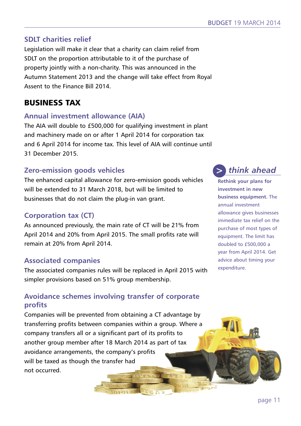### **SDLT charities relief**

Legislation will make it clear that a charity can claim relief from SDLT on the proportion attributable to it of the purchase of property jointly with a non-charity. This was announced in the Autumn Statement 2013 and the change will take effect from Royal Assent to the Finance Bill 2014.

# **BUSINESS TAX**

#### **Annual investment allowance (AIA)**

The AIA will double to £500,000 for qualifying investment in plant and machinery made on or after 1 April 2014 for corporation tax and 6 April 2014 for income tax. This level of AIA will continue until 31 December 2015.

# **Zero-emission goods vehicles**

The enhanced capital allowance for zero-emission goods vehicles will be extended to 31 March 2018, but will be limited to businesses that do not claim the plug-in van grant.

# **Corporation tax (CT)**

As announced previously, the main rate of CT will be 21% from April 2014 and 20% from April 2015. The small profits rate will remain at 20% from April 2014.

#### **Associated companies**

The associated companies rules will be replaced in April 2015 with simpler provisions based on 51% group membership.

# **Avoidance schemes involving transfer of corporate profits**

Companies will be prevented from obtaining a CT advantage by transferring profits between companies within a group. Where a company transfers all or a significant part of its profits to another group member after 18 March 2014 as part of tax avoidance arrangements, the company's profits will be taxed as though the transfer had not occurred.



**Rethink your plans for investment in new business equipment.** The annual investment allowance gives businesses immediate tax relief on the purchase of most types of equipment. The limit has doubled to £500,000 a year from April 2014. Get advice about timing your expenditure.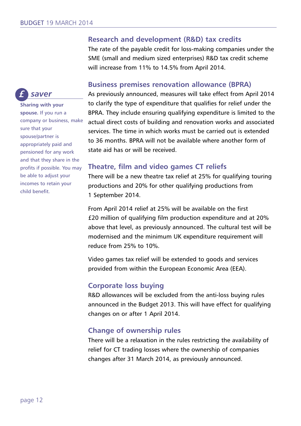#### **Research and development (R&D) tax credits**

The rate of the payable credit for loss-making companies under the SME (small and medium sized enterprises) R&D tax credit scheme will increase from 11% to 14.5% from April 2014.

#### **Business premises renovation allowance (BPRA)**

As previously announced, measures will take effect from April 2014 to clarify the type of expenditure that qualifies for relief under the BPRA. They include ensuring qualifying expenditure is limited to the actual direct costs of building and renovation works and associated services. The time in which works must be carried out is extended to 36 months. BPRA will not be available where another form of state aid has or will be received.

#### **Theatre, film and video games CT reliefs**

There will be a new theatre tax relief at 25% for qualifying touring productions and 20% for other qualifying productions from 1 September 2014.

From April 2014 relief at 25% will be available on the first £20 million of qualifying film production expenditure and at 20% above that level, as previously announced. The cultural test will be modernised and the minimum UK expenditure requirement will reduce from 25% to 10%.

Video games tax relief will be extended to goods and services provided from within the European Economic Area (EEA).

#### **Corporate loss buying**

R&D allowances will be excluded from the anti-loss buying rules announced in the Budget 2013. This will have effect for qualifying changes on or after 1 April 2014.

#### **Change of ownership rules**

There will be a relaxation in the rules restricting the availability of relief for CT trading losses where the ownership of companies changes after 31 March 2014, as previously announced.



**Sharing with your spouse.** If you run a company or business, make sure that your spouse/partner is appropriately paid and pensioned for any work and that they share in the profits if possible. You may be able to adjust your incomes to retain your child benefit.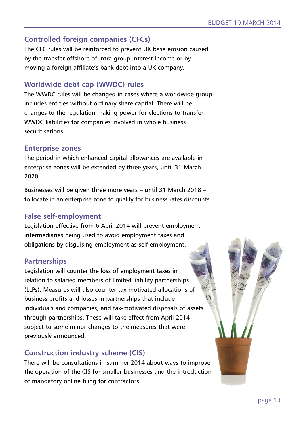# **Controlled foreign companies (CFCs)**

The CFC rules will be reinforced to prevent UK base erosion caused by the transfer offshore of intra-group interest income or by moving a foreign affiliate's bank debt into a UK company.

# **Worldwide debt cap (WWDC) rules**

The WWDC rules will be changed in cases where a worldwide group includes entities without ordinary share capital. There will be changes to the regulation making power for elections to transfer WWDC liabilities for companies involved in whole business securitisations.

#### **Enterprise zones**

The period in which enhanced capital allowances are available in enterprise zones will be extended by three years, until 31 March 2020.

Businesses will be given three more years – until 31 March 2018 – to locate in an enterprise zone to qualify for business rates discounts.

# **False self-employment**

Legislation effective from 6 April 2014 will prevent employment intermediaries being used to avoid employment taxes and obligations by disguising employment as self-employment.

# **Partnerships**

Legislation will counter the loss of employment taxes in relation to salaried members of limited liability partnerships (LLPs). Measures will also counter tax-motivated allocations of business profits and losses in partnerships that include individuals and companies, and tax-motivated disposals of assets through partnerships. These will take effect from April 2014 subject to some minor changes to the measures that were previously announced.

# **Construction industry scheme (CIS)**

There will be consultations in summer 2014 about ways to improve the operation of the CIS for smaller businesses and the introduction of mandatory online filing for contractors.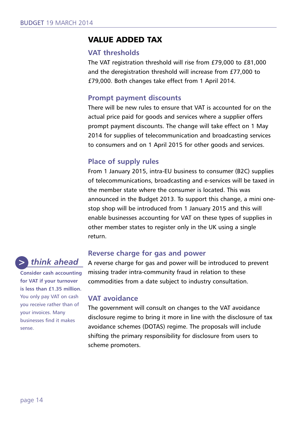#### **VALUE ADDED TAX**

#### **VAT thresholds**

The VAT registration threshold will rise from £79,000 to £81,000 and the deregistration threshold will increase from £77,000 to £79,000. Both changes take effect from 1 April 2014.

#### **Prompt payment discounts**

There will be new rules to ensure that VAT is accounted for on the actual price paid for goods and services where a supplier offers prompt payment discounts. The change will take effect on 1 May 2014 for supplies of telecommunication and broadcasting services to consumers and on 1 April 2015 for other goods and services.

#### **Place of supply rules**

From 1 January 2015, intra-EU business to consumer (B2C) supplies of telecommunications, broadcasting and e-services will be taxed in the member state where the consumer is located. This was announced in the Budget 2013. To support this change, a mini onestop shop will be introduced from 1 January 2015 and this will enable businesses accounting for VAT on these types of supplies in other member states to register only in the UK using a single return.

#### **Reverse charge for gas and power**

A reverse charge for gas and power will be introduced to prevent missing trader intra-community fraud in relation to these commodities from a date subject to industry consultation.

#### **VAT avoidance**

The government will consult on changes to the VAT avoidance disclosure regime to bring it more in line with the disclosure of tax avoidance schemes (DOTAS) regime. The proposals will include shifting the primary responsibility for disclosure from users to scheme promoters.



**for VAT if your turnover is less than £1.35 million.** You only pay VAT on cash you receive rather than of your invoices. Many businesses find it makes sense.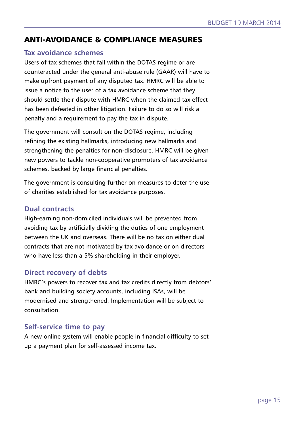# **ANTI-AVOIDANCE & COMPLIANCE MEASURES**

#### **Tax avoidance schemes**

Users of tax schemes that fall within the DOTAS regime or are counteracted under the general anti-abuse rule (GAAR) will have to make upfront payment of any disputed tax. HMRC will be able to issue a notice to the user of a tax avoidance scheme that they should settle their dispute with HMRC when the claimed tax effect has been defeated in other litigation. Failure to do so will risk a penalty and a requirement to pay the tax in dispute.

The government will consult on the DOTAS regime, including refining the existing hallmarks, introducing new hallmarks and strengthening the penalties for non-disclosure. HMRC will be given new powers to tackle non-cooperative promoters of tax avoidance schemes, backed by large financial penalties.

The government is consulting further on measures to deter the use of charities established for tax avoidance purposes.

#### **Dual contracts**

High-earning non-domiciled individuals will be prevented from avoiding tax by artificially dividing the duties of one employment between the UK and overseas. There will be no tax on either dual contracts that are not motivated by tax avoidance or on directors who have less than a 5% shareholding in their employer.

#### **Direct recovery of debts**

HMRC's powers to recover tax and tax credits directly from debtors' bank and building society accounts, including ISAs, will be modernised and strengthened. Implementation will be subject to consultation.

#### **Self-service time to pay**

A new online system will enable people in financial difficulty to set up a payment plan for self-assessed income tax.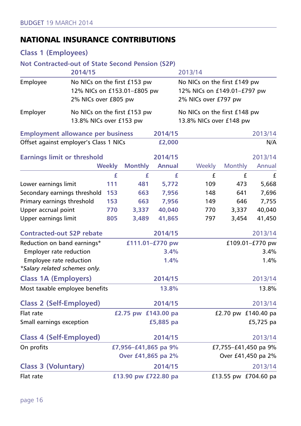# **NATIONAL INSURANCE CONTRIBUTIONS**

# **Class 1 (Employees)**

#### **Not Contracted-out of State Second Pension (S2P)**

|                                          | 2014/15                                                                             |                      |                     |                      | 2013/14                                                                             |         |                 |  |
|------------------------------------------|-------------------------------------------------------------------------------------|----------------------|---------------------|----------------------|-------------------------------------------------------------------------------------|---------|-----------------|--|
| Employee                                 | No NICs on the first £153 pw<br>12% NICs on £153.01-£805 pw<br>2% NICs over £805 pw |                      |                     |                      | No NICs on the first £149 pw<br>12% NICs on £149.01-£797 pw<br>2% NICs over £797 pw |         |                 |  |
| Employer                                 | No NICs on the first £153 pw<br>13.8% NICs over £153 pw                             |                      |                     |                      | No NICs on the first £148 pw<br>13.8% NICs over £148 pw                             |         |                 |  |
| <b>Employment allowance per business</b> |                                                                                     |                      |                     | 2014/15              |                                                                                     |         | 2013/14         |  |
| Offset against employer's Class 1 NICs   |                                                                                     |                      |                     | £2,000               |                                                                                     |         | N/A             |  |
| <b>Earnings limit or threshold</b>       |                                                                                     |                      |                     | 2014/15              |                                                                                     |         | 2013/14         |  |
|                                          |                                                                                     | <b>Weekly</b>        | <b>Monthly</b>      | <b>Annual</b>        | Weekly                                                                              | Monthly | Annual          |  |
|                                          |                                                                                     | £                    | £                   | £                    | £                                                                                   | £       | £               |  |
| Lower earnings limit                     |                                                                                     | 111                  | 481                 | 5,772                | 109                                                                                 | 473     | 5,668           |  |
| Secondary earnings threshold             |                                                                                     | 153                  | 663                 | 7,956                | 148                                                                                 | 641     | 7,696           |  |
| Primary earnings threshold               |                                                                                     | 153                  | 663                 | 7,956                | 149                                                                                 | 646     | 7,755           |  |
| Upper accrual point                      |                                                                                     | 770                  | 3,337               | 40,040               | 770                                                                                 | 3,337   | 40,040          |  |
| Upper earnings limit                     |                                                                                     | 805                  | 3,489               | 41,865               | 797                                                                                 | 3,454   | 41,450          |  |
| <b>Contracted-out S2P rebate</b>         |                                                                                     |                      |                     | 2014/15              |                                                                                     |         | 2013/14         |  |
| Reduction on band earnings*              |                                                                                     |                      |                     | £111.01-£770 pw      |                                                                                     |         | £109.01-£770 pw |  |
| Employer rate reduction                  |                                                                                     |                      |                     | 3.4%                 |                                                                                     |         | 3.4%            |  |
| Employee rate reduction                  |                                                                                     |                      |                     | 1.4%                 |                                                                                     |         | 1.4%            |  |
| *Salary related schemes only.            |                                                                                     |                      |                     |                      |                                                                                     |         |                 |  |
| <b>Class 1A (Employers)</b>              |                                                                                     |                      |                     | 2014/15              |                                                                                     |         | 2013/14         |  |
| Most taxable employee benefits           |                                                                                     |                      |                     | 13.8%                |                                                                                     |         | 13.8%           |  |
| <b>Class 2 (Self-Employed)</b>           |                                                                                     |                      |                     | 2014/15              |                                                                                     |         | 2013/14         |  |
| Flat rate                                |                                                                                     |                      | £2.75 pw £143.00 pa |                      | £2.70 pw £140.40 pa                                                                 |         |                 |  |
| Small earnings exception                 |                                                                                     |                      |                     | £5,885 pa            |                                                                                     |         | £5,725 pa       |  |
| <b>Class 4 (Self-Employed)</b>           |                                                                                     |                      |                     | 2014/15              |                                                                                     |         | 2013/14         |  |
| On profits                               |                                                                                     | £7,956-£41,865 pa 9% |                     | £7,755-£41,450 pa 9% |                                                                                     |         |                 |  |
|                                          |                                                                                     | Over £41,865 pa 2%   |                     | Over £41,450 pa 2%   |                                                                                     |         |                 |  |
| <b>Class 3 (Voluntary)</b>               |                                                                                     | 2014/15              |                     |                      |                                                                                     |         | 2013/14         |  |
| Flat rate                                | £13.90 pw £722.80 pa                                                                |                      |                     | £13.55 pw £704.60 pa |                                                                                     |         |                 |  |